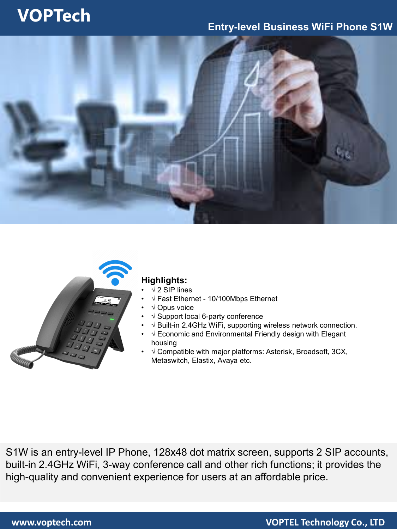## **VOPTech**

### **Entry-level Business WiFi Phone S1W**





### **Highlights:**

- $\sqrt{2}$  SIP lines
- √ Fast Ethernet 10/100Mbps Ethernet
- √ Opus voice
- √ Support local 6-party conference
- √ Built-in 2.4GHz WiFi, supporting wireless network connection.
- √ Economic and Environmental Friendly design with Elegant housing
- $\sqrt{2}$  Compatible with major platforms: Asterisk, Broadsoft, 3CX, Metaswitch, Elastix, Avaya etc.

S1W is an entry-level IP Phone, 128x48 dot matrix screen, supports 2 SIP accounts, built-in 2.4GHz WiFi, 3-way conference call and other rich functions; it provides the high-quality and convenient experience for users at an affordable price.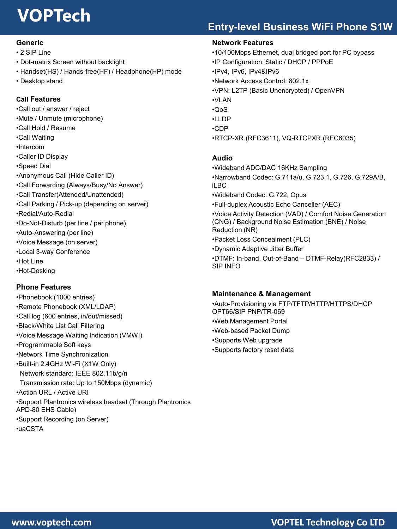# **VOPTech**

### **Entry-level Business WiFi Phone S1W**

#### **Generic**

- 2 SIP Line
- Dot-matrix Screen without backlight
- Handset(HS) / Hands-free(HF) / Headphone(HP) mode
- Desktop stand

#### **Call Features**

•Call out / answer / reject •Mute / Unmute (microphone) •Call Hold / Resume •Call Waiting •Intercom •Caller ID Display •Speed Dial •Anonymous Call (Hide Caller ID) •Call Forwarding (Always/Busy/No Answer) •Call Transfer(Attended/Unattended) •Call Parking / Pick-up (depending on server) •Redial/Auto-Redial •Do-Not-Disturb (per line / per phone) •Auto-Answering (per line) •Voice Message (on server) •Local 3-way Conference •Hot Line •Hot-Desking

#### **Phone Features**

•Phonebook (1000 entries) •Remote Phonebook (XML/LDAP) •Call log (600 entries, in/out/missed) •Black/White List Call Filtering •Voice Message Waiting Indication (VMWI) •Programmable Soft keys •Network Time Synchronization •Built-in 2.4GHz Wi-Fi (X1W Only) Network standard: IEEE 802.11b/g/n Transmission rate: Up to 150Mbps (dynamic) •Action URL / Active URI •Support Plantronics wireless headset (Through Plantronics APD-80 EHS Cable) •Support Recording (on Server) •uaCSTA

#### **Network Features**

•10/100Mbps Ethernet, dual bridged port for PC bypass •IP Configuration: Static / DHCP / PPPoE •IPv4, IPv6, IPv4&IPv6 •Network Access Control: 802.1x •VPN: L2TP (Basic Unencrypted) / OpenVPN •VLAN •QoS •LLDP •CDP •RTCP-XR (RFC3611), VQ-RTCPXR (RFC6035)

#### **Audio**

•Wideband ADC/DAC 16KHz Sampling •Narrowband Codec: G.711a/u, G.723.1, G.726, G.729A/B, iLBC •Wideband Codec: G.722, Opus •Full-duplex Acoustic Echo Canceller (AEC) •Voice Activity Detection (VAD) / Comfort Noise Generation (CNG) / Background Noise Estimation (BNE) / Noise Reduction (NR) •Packet Loss Concealment (PLC) •Dynamic Adaptive Jitter Buffer •DTMF: In-band, Out-of-Band – DTMF-Relay(RFC2833) / SIP INFO

#### **Maintenance & Management**

•Auto-Provisioning via FTP/TFTP/HTTP/HTTPS/DHCP OPT66/SIP PNP/TR-069 •Web Management Portal •Web-based Packet Dump •Supports Web upgrade •Supports factory reset data